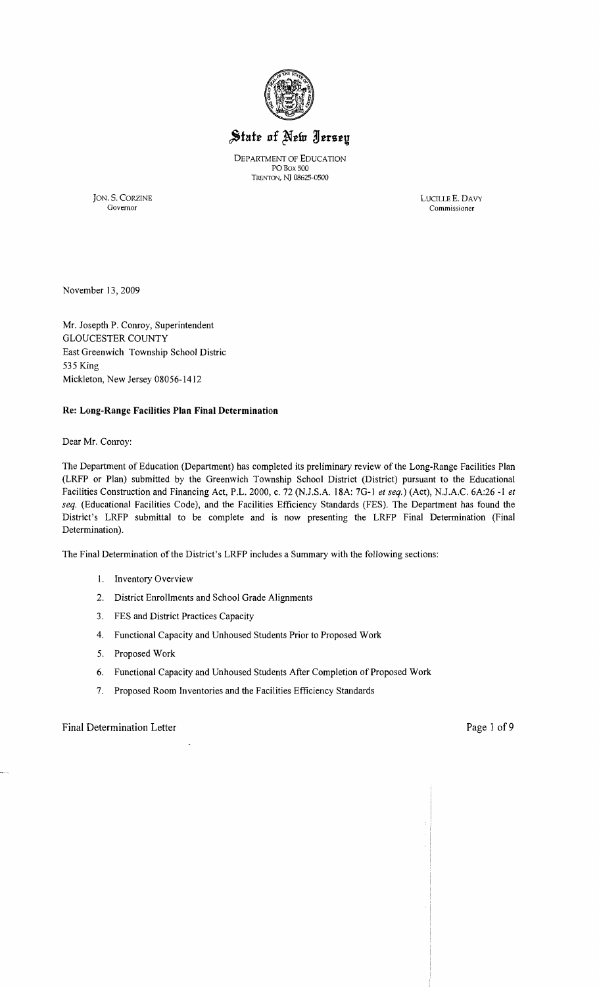

# State of New Jersey

DEPARTMENT OF EDUCATION PO Box 500 TRENTON, NJ 08625·0S00

JON. S. CORZINE LUCILLEE. DAVY

Governor Commissioner

November 13,2009

Mr. Josepth P. Conroy, Superintendent GLOUCESTER COUNTY East Greenwich Township School Distric 535 King Mickleton, New Jersey 08056-1412

#### **Re: Long-Range Facilities Plan Final Determination**

Dear Mr. Conroy:

The Department of Education (Department) has completed its preliminary review of the Long-Range Facilities Plan (LRFP or Plan) submitted by the Greenwich Township School District (District) pursuant to the Educational Facilities Construction and Financing Act, P.L. 2000, c. 72 (NJ.S.A. 18A: 7G-1 *et seq.)* (Act), NJ.A.C. 6A:26 -1 *et seq.* (Educational Facilities Code), and the Facilities Efficiency Standards (FES). The Department has found the District's LRFP submittal to be complete and is now presenting the LRFP Final Determination (Final Determination).

The Final Determination of the District's LRFP includes a Summary with the following sections:

- 1. Inventory Overview
- 2. District Enrollments and School Grade Alignments
- 3. FES and District Practices Capacity
- 4. Functional Capacity and Unhoused Students Prior to Proposed Work
- 5. Proposed Work
- 6. Functional Capacity and Unhoused Students After Completion of Proposed Work
- 7. Proposed Room Inventories and the Facilities Efficiency Standards

#### Final Determination Letter **Page 1 of 9** and 1 of 9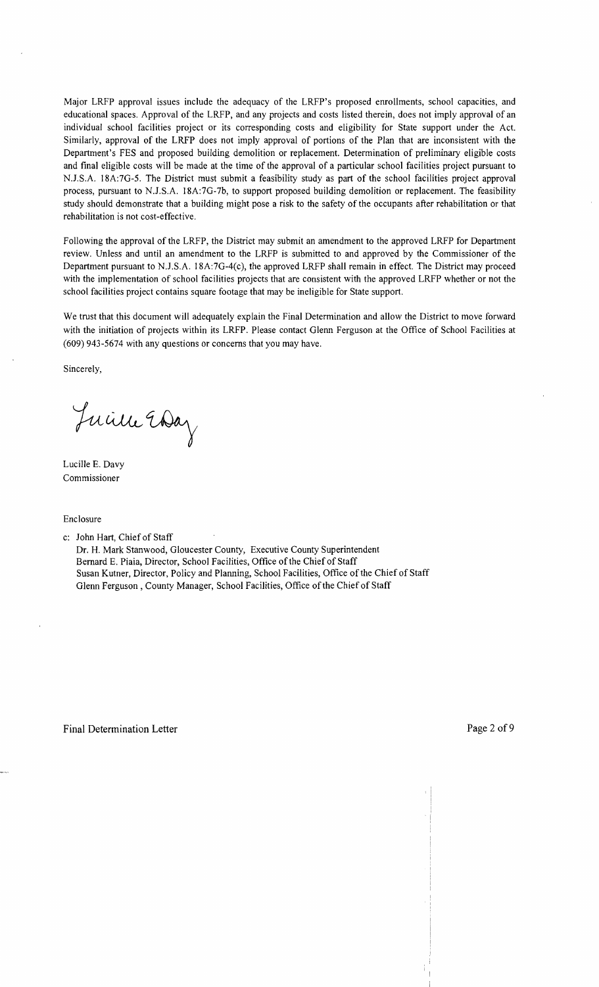Major LRFP approval issues include the adequacy of the LRFP's proposed enrollments, school capacities, and educational spaces. Approval of the LRFP, and any projects and costs listed therein, does not imply approval of an individual school facilities project or its corresponding costs and eligibility for State support under the Act. Similarly, approval of the LRFP does not imply approval of portions of the Plan that are inconsistent with the Department's FES and proposed building demolition or replacement. Determination of preliminary eligible costs and final eligible costs will be made at the time of the approval of a particular school facilities project pursuant to NJ.S.A. 18A:7G-5. The District must submit a feasibility study as part of the school facilities project approval process, pursuant to NJ.S.A. 18A:7G-7b, to support proposed building demolition or replacement. The feasibility study should demonstrate that a building might pose a risk to the safety of the occupants after rehabilitation or that rehabilitation is not cost-effective.

Following the approval of the LRFP, the District may submit an amendment to the approved LRFP for Department review. Unless and until an amendment to the LRFP is submitted to and approved by the Commissioner of the Department pursuant to NJ.S.A. 18A:7G-4(c), the approved LRFP shall remain in effect. The District may proceed with the implementation of school facilities projects that are consistent with the approved LRFP whether or not the school facilities project contains square footage that may be ineligible for State support.

We trust that this document will adequately explain the Final Determination and allow the District to move forward with the initiation of projects within its LRFP. Please contact Glenn Ferguson at the Office of School Facilities at (609) 943-5674 with any questions or concerns that you may have.

Sincerely,

Juine Eday

Lucille E. Davy Commissioner

Enclosure

- c: John Hart, Chief of Staff
	- Dr. H. Mark Stanwood, Gloucester County, Executive County Superintendent Bernard E. Piaia, Director, School Facilities, Office of the Chief of Staff Susan Kutner, Director, Policy and Planning, School Facilities, Office of the Chief of Staff Glenn Ferguson, County Manager, School Facilities, Office of the Chief of Staff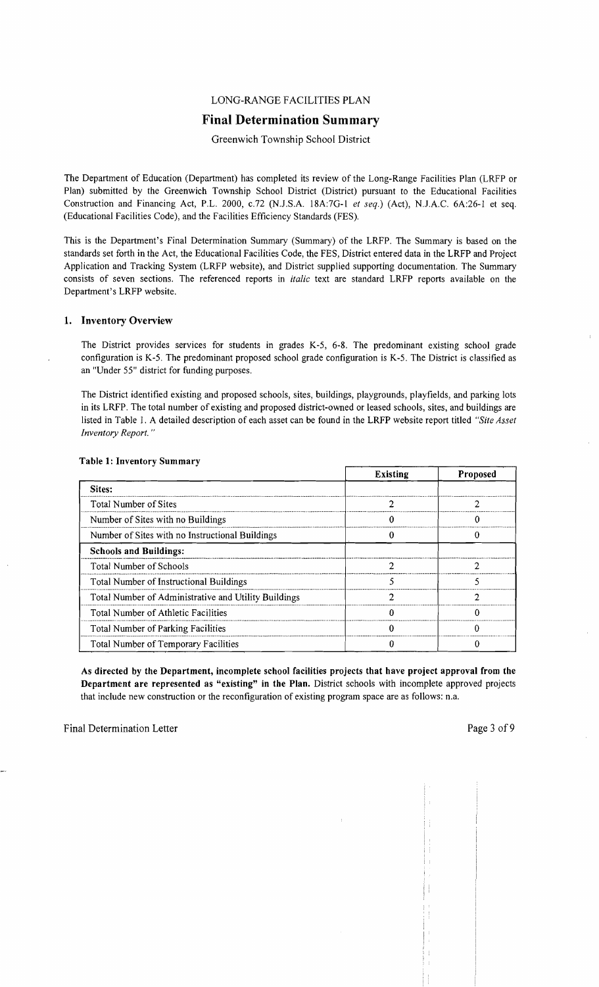# LONG-RANGE FACILITIES PLAN

# Final Determination Summary

Greenwich Township School District

The Department of Education (Department) has completed its review of the Long-Range Facilities Plan (LRFP or Plan) submitted by the Greenwich Township School District (District) pursuant to the Educational Facilities Construction and Financing Act, P.L. 2000, *c.72* (N.J.S.A. 18A:7G-1 *et seq.*) (Act), N.J.A.C. 6A:26-1 et seq. (Educational Facilities Code), and the Facilities Efficiency Standards (FES).

This is the Department's Final Determination Summary (Summary) of the LRFP. The Summary is based on the standards set forth in the Act, the Educational Facilities Code, the FES, District entered data in the LRFP and Project Application and Tracking System (LRFP website), and District supplied supporting documentation. The Summary consists of seven sections. The referenced reports in *italic* text are standard LRFP reports available on the Department's LRFP website.

#### 1. Inventory Overview

The District provides services for students in grades K-5, 6-8. The predominant existing school grade configuration is K-5. The predominant proposed school grade configuration is K-5. The District is classified as an "Under 55" district for funding purposes.

The District identified existing and proposed schools, sites, buildings, playgrounds, playfields, and parking lots in its LRFP. The total number of existing and proposed district-owned or leased schools, sites, and buildings are listed in Table 1. A detailed description of each asset can be found in the LRFP website report titled *"Site Asset Inventory Report. "* 

|                                                      | <b>Existing</b> | <b>Proposed</b> |
|------------------------------------------------------|-----------------|-----------------|
| Sites:                                               |                 |                 |
| Total Number of Sites                                |                 |                 |
| Number of Sites with no Buildings                    |                 |                 |
| Number of Sites with no Instructional Buildings      |                 |                 |
| <b>Schools and Buildings:</b>                        |                 |                 |
| Total Number of Schools                              |                 |                 |
| <b>Total Number of Instructional Buildings</b>       |                 |                 |
| Total Number of Administrative and Utility Buildings |                 |                 |
| Total Number of Athletic Facilities                  |                 |                 |
| <b>Total Number of Parking Facilities</b>            |                 |                 |
| Total Number of Temporary Facilities                 |                 |                 |

#### Table 1: Inventory Summary

As directed by the Department, incomplete school facilities projects that have project approval from the Department are represented as "existing" in the Plan. District schools with incomplete approved projects that include new construction or the reconfiguration of existing program space are as follows: n.a.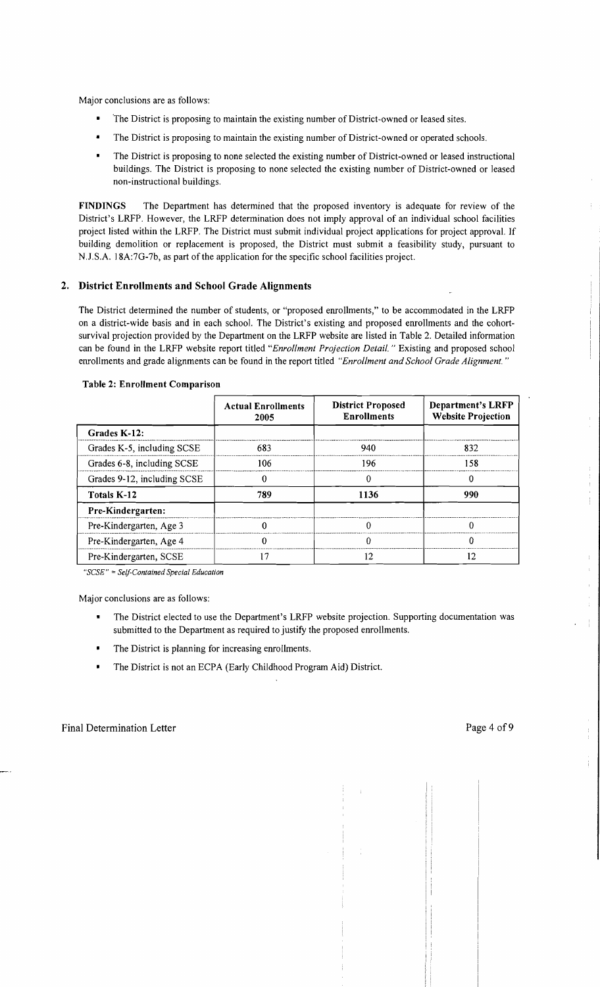Major conclusions are as follows:

- The District is proposing to maintain the existing number of District-owned or leased sites.
- The District is proposing to maintain the existing number of District-owned or operated schools.
- The District is proposing to none selected the existing number of District-owned or leased instructional buildings. The District is proposing to none selected the existing number of District-owned or leased non-instructional buildings.

FINDINGS The Department has determined that the proposed inventory is adequate for review of the District's LRFP. However, the LRFP determination does not imply approval of an individual school facilities project listed within the LRFP. The District must submit individual project applications for project approval. If building demolition or replacement is proposed, the District must submit a feasibility study, pursuant to N.J.S.A. 18A:7G-7b, as part of the application for the specific school facilities project.

#### 2. District Enrollments and School Grade Alignments

The District determined the number of students, or "proposed enrollments," to be accommodated in the LRFP on a district-wide basis and in each school. The District's existing and proposed enrollments and the cohortsurvival projection provided by the Department on the LRFP website are listed in Table 2. Detailed information can be found in the LRFP website report titled *"Enrollment Projection Detail.* " Existing and proposed school enrollments and grade alignments can be found in the report titled *"Enrollment and School Grade Alignment. "* 

|                             | <b>Actual Enrollments</b><br>2005 | <b>District Proposed</b><br><b>Enrollments</b> | <b>Department's LRFP</b><br><b>Website Projection</b> |  |
|-----------------------------|-----------------------------------|------------------------------------------------|-------------------------------------------------------|--|
| Grades K-12:                |                                   |                                                |                                                       |  |
| Grades K-5, including SCSE  | 683                               | 940                                            | 832                                                   |  |
| Grades 6-8, including SCSE  | 106                               | 196                                            | 158                                                   |  |
| Grades 9-12, including SCSE |                                   |                                                | 0                                                     |  |
| Totals K-12                 | 789                               | 1136                                           | 990                                                   |  |
| Pre-Kindergarten:           |                                   |                                                |                                                       |  |
| Pre-Kindergarten, Age 3     |                                   |                                                | 0                                                     |  |
| Pre-Kindergarten, Age 4     |                                   |                                                | 0                                                     |  |
| Pre-Kindergarten, SCSE      | 17                                | 12                                             | 12                                                    |  |

#### Table 2: Enrollment Comparison

*"SCSE"* ; *Self-Contained Special Education* 

Major conclusions are as follows:

- The District elected to use the Department's LRFP website projection. Supporting documentation was submitted to the Department as required to justify the proposed enrollments.
- The District is planning for increasing enrollments.  $\blacksquare$
- The District is not an ECPA (Early Childhood Program Aid) District.

 $\bar{t}$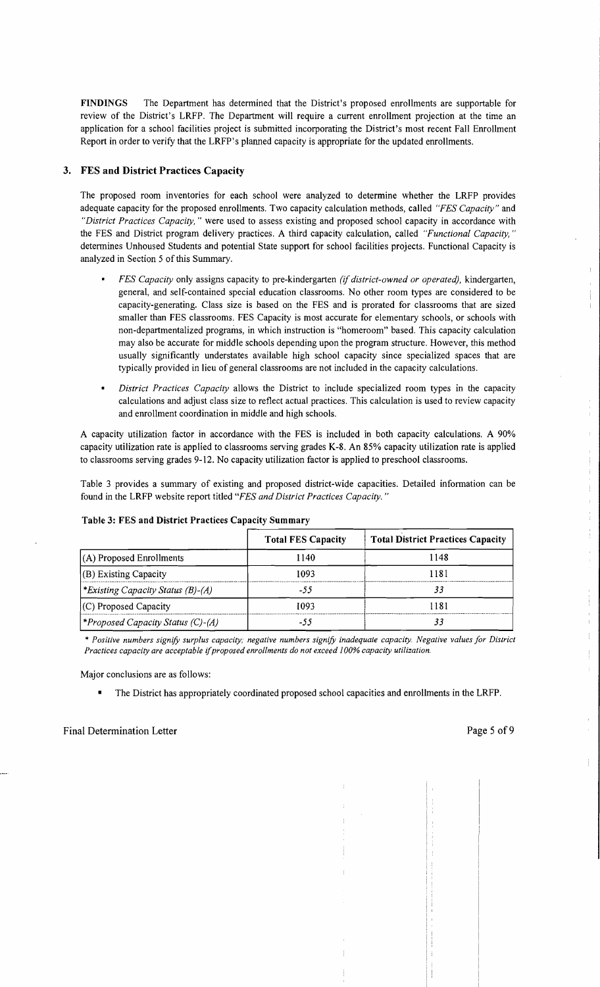FINDINGS The Department has determined that the District's proposed enrollments are supportable for review of the District's LRFP. The Department will require a current enrollment projection at the time an application for a school facilities project is submitted incorporating the District's most recent Fall Enrollment Report in order to verify that the LRFP's planned capacity is appropriate for the updated enrollments.

#### 3. FES and District Practices Capacity

The proposed room inventories for each school were analyzed to determine whether the LRFP provides adequate capacity for the proposed enrollments. Two capacity calculation methods, called *"FES Capacity"* and *"District Practices Capacity,* " were used to assess existing and proposed school capacity in accordance with the FES and District program delivery practices. A third capacity calculation, called *"Functional Capacity, "*  determines Unhoused Students and potential State support for school facilities projects. Functional Capacity is analyzed in Section 5 of this Summary.

- *FES Capacity* only assigns capacity to pre-kindergarten *(if district-owned or operated),* kindergarten, general, and self-contained special education classrooms. No other room types are considered to be capacity-generating. Class size is based on the FES and is prorated for classrooms that are sized smaller than FES classrooms. FES Capacity is most accurate for elementary schools, or schools with non-departmentalized programs, in which instruction is "homeroom" based. This capacity calculation may also be accurate for middle schools depending upon the program structure. However, this method usually significantly understates available high school capacity since specialized spaces that are typically provided in lieu of general classrooms are not included in the capacity calculations.
- *District Practices Capacity* allows the District to include specialized room types in the capacity calculations and adjust class size to reflect actual practices. This calculation is used to review capacity and enrollment coordination in middle and high schools.

A capacity utilization factor in accordance with the FES is included in both capacity calculations. A 90% capacity utilization rate is applied to classrooms serving grades K-8. An 85% capacity utilization rate is applied to classrooms serving grades 9-12. No capacity utilization factor is applied to preschool classrooms.

Table 3 provides a summary of existing and proposed district-wide capacities. Detailed information can be found in the LRFP website report titled *"FES and District Practices Capacity. "* 

|                                                 | <b>Total FES Capacity</b> | <b>Total District Practices Capacity</b> |
|-------------------------------------------------|---------------------------|------------------------------------------|
| $(A)$ Proposed Enrollments                      | 1140                      | 1148                                     |
| (B) Existing Capacity                           | 1093                      | 1181                                     |
| <i>Existing Capacity Status (B)-(A)</i>         | -55                       |                                          |
| $(C)$ Proposed Capacity                         | 1093                      | 1181                                     |
| <i><b>*Proposed Capacity Status (C)-(A)</b></i> |                           |                                          |

#### Table 3: FES and District Practices Capacity Summary

\* *Positive numbers signifY surplus capacity; negative numbers signifY inadequate capacity. Negative values for District Practices capacity are acceptable* if*proposed enrollments do not exceed 100% capacity utilization.* 

Major conclusions are as follows:

• The District has appropriately coordinated proposed school capacities and enrollments in the LRFP.

 $\frac{1}{\epsilon}$  $\begin{array}{c} \begin{array}{c} \begin{array}{c} \end{array} \end{array} \end{array}$ 

 $\frac{1}{4}$  $\frac{1}{2}$ 

 $\ddot{\pi}$ 

Ĭ.  $\bar{\Gamma}$  $\hat{\mathbf{f}}$  .  $\mathbb{F}$  $\mathbb{R}^2$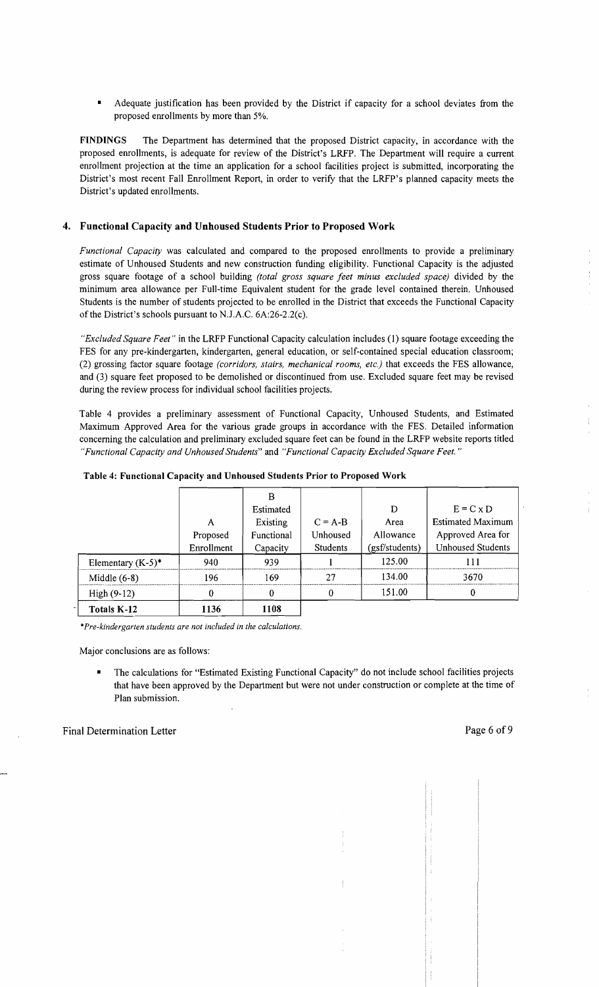Adequate justification has been provided by the District if capacity for a school deviates from the proposed enrollments by more than 5%.

FINDINGS The Department has determined that the proposed District capacity, in accordance with the proposed enrollments, is adequate for review of the District's LRFP. The Department will require a current enrollment projection at the time an application for a school facilities project is submitted, incorporating the District's most recent Fall Enrollment Report, in order to verify that the LRFP's planned capacity meets the District's updated enrollments.

#### 4. Functional Capacity and Unhoused Students Prior to Proposed Work

*Functional Capacity* was calculated and compared to the proposed enrollments to provide a preliminary estimate of Unhoused Students and new construction funding eligibility. Functional Capacity is the adjusted gross square footage of a school building *(total gross square feet minus excluded space)* divided by the minimum area allowance per Full-time Equivalent student for the grade level contained therein. Unhoused Students is the number of students projected to be enrolled in the District that exceeds the Functional Capacity of the District's schools pursuant to NJ.A.C. 6A:26-2.2(c).

*"Excluded Square Feet"* in the LRFP Functional Capacity calculation includes (1) square footage exceeding the FES for any pre-kindergarten, kindergarten, general education, or self-contained special education classroom; (2) grossing factor square footage *(corridors, stairs, mechanical rooms, etc.)* that exceeds the FES allowance, and (3) square feet proposed to be demolished or discontinued from use. Excluded square feet may be revised during the review process for individual school facilities projects.

Table 4 provides a preliminary assessment of Functional Capacity, Unhoused Students, and Estimated Maximum Approved Area for the various grade groups in accordance with the FES. Detailed information concerning the calculation and preliminary excluded square feet can be found in the LRFP website reports titled *"Functional Capacity and Unhoused Students"* and *"Functional CapaCity Excluded Square Feet. "* 

|                      |            | B          |                 |                |                          |
|----------------------|------------|------------|-----------------|----------------|--------------------------|
|                      |            | Estimated  |                 | D              | $E = C x D$              |
|                      | A          | Existing   | $C = A-B$       | Area           | <b>Estimated Maximum</b> |
|                      | Proposed   | Functional | Unhoused        | Allowance      | Approved Area for        |
|                      | Enrollment | Capacity   | <b>Students</b> | (gsf/students) | <b>Unhoused Students</b> |
| Elementary $(K-5)^*$ | 940        | 939        |                 | 125.00         | 111                      |
| Middle $(6-8)$       | 196        | 169        | 27              | 134.00         | 3670                     |
| High $(9-12)$        | 0          | 0          | 0               | 151.00         | 0                        |
| Totals K-12          | 1136       | 1108       |                 |                |                          |

|  |  |  | Table 4: Functional Capacity and Unhoused Students Prior to Proposed Work |  |  |  |
|--|--|--|---------------------------------------------------------------------------|--|--|--|
|--|--|--|---------------------------------------------------------------------------|--|--|--|

*\*Pre-kindergarten students are not included in the calculations.* 

Major conclusions are as follows:

The calculations for "Estimated Existing Functional Capacity" do not include school facilities projects that have been approved by the Department but were not under construction or complete at the time of Plan submission.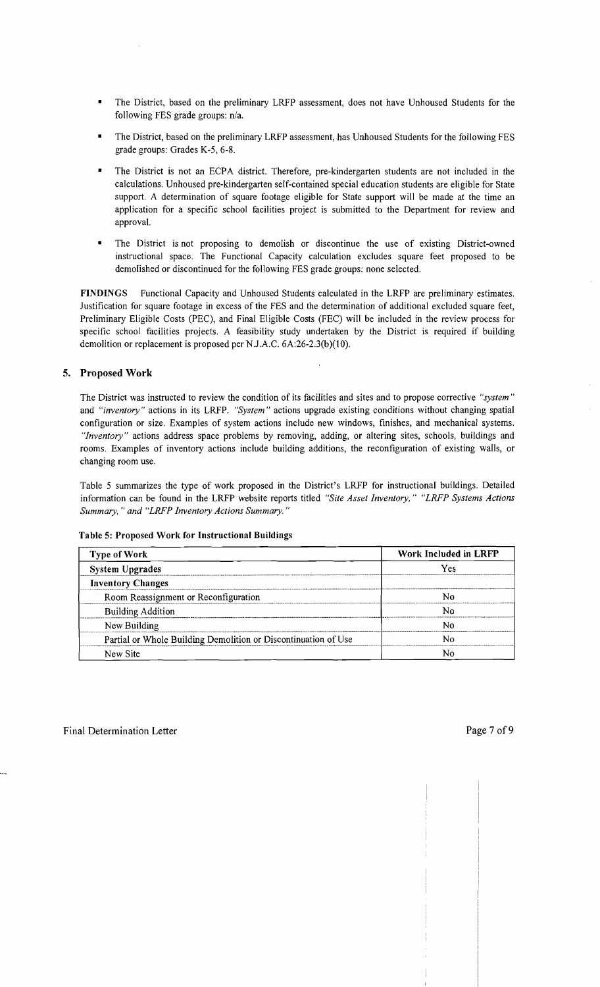- The District, based on the preliminary LRFP assessment, does not have Unhoused Students for the following FES grade groups:  $n/a$ .
- The District, based on the preliminary LRFP assessment, has Unhoused Students for the following FES grade groups: Grades K-5, 6-8.
- The District is not an ECPA district. Therefore, pre-kindergarten students are not included in the calculations. Unhoused pre-kindergarten self-contained special education students are eligible for State support. A determination of square footage eligible for State support will be made at the time an application for a specific school facilities project is submitted to the Department for review and approval.
- The District is not proposing to demolish or discontinue the use of existing District-owned instructional space. The Functional Capacity calculation excludes square feet proposed to be demolished or discontinued for the following FES grade groups: none selected.

**FINDINGS** Functional Capacity and Unhoused Students calculated in the LRFP are preliminary estimates. Justification for square footage in excess of the FES and the determination of additional excluded square feet, Preliminary Eligible Costs (PEC), and Final Eligible Costs (FEC) will be included in the review process for specific school facilities projects. A feasibility study undertaken by the District is required if building demolition or replacement is proposed per NJ.A.C. 6A:26-2.3(b)(10).

## **5. Proposed Work**

The District was instructed to review the condition of its facilities and sites and to propose corrective *"system"*  and *"inventory"* actions in its LRFP. *"System"* actions upgrade existing conditions without changing spatial configuration or size. Examples of system actions include new windows, finishes, and mechanical systems. *"Inventory"* actions address space problems by removing, adding, or altering sites, schools, buildings and rooms. Examples of inventory actions include building additions, the reconfiguration of existing walls, or changing room use.

Table 5 summarizes the type of work proposed in the District's LRFP for instructional buildings. Detailed information can be found in the LRFP website reports titled *"Site Asset Inventory," "LRFP Systems Actions Summary,* .. *and "LRFP Inventory Actions Summary. "* 

| <b>Type of Work</b>                                            | Work Included in LRFP |  |  |
|----------------------------------------------------------------|-----------------------|--|--|
| <b>System Upgrades</b>                                         | Ves                   |  |  |
| <b>Inventory Changes</b>                                       |                       |  |  |
| Room Reassignment or Reconfiguration                           |                       |  |  |
| <b>Building Addition</b>                                       |                       |  |  |
| New Building                                                   |                       |  |  |
| Partial or Whole Building Demolition or Discontinuation of Use |                       |  |  |
| New Site                                                       |                       |  |  |

#### **Table 5: Proposed Work for Instructional Buildings**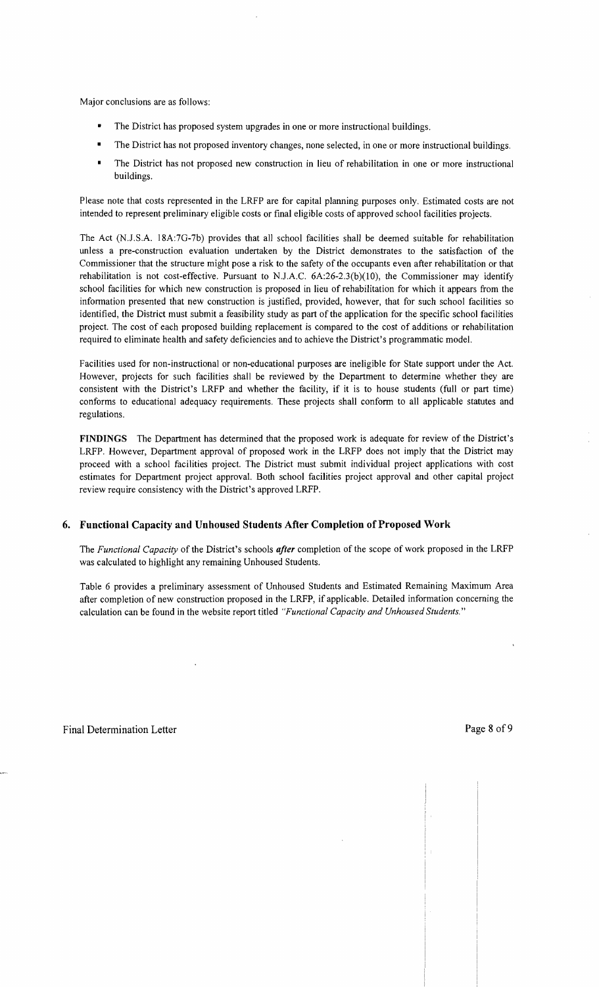Major conclusions are as follows:

- The District has proposed system upgrades in one or more instructional buildings.
- The District has not proposed inventory changes, none selected, in one or more instructional buildings.
- The District has not proposed new construction in lieu of rehabilitation in one or more instructional buildings.

Please note that costs represented in the LRFP are for capital planning purposes only. Estimated costs are not intended to represent preliminary eligible costs or final eligible costs of approved school facilities projects.

The Act (N.J.S.A. 18A:7G-7b) provides that all school facilities shall be deemed suitable for rehabilitation unless a pre-construction evaluation undertaken by the District demonstrates to the satisfaction of the Commissioner that the structure might pose a risk to the safety of the occupants even after rehabilitation or that rehabilitation is not cost-effective. Pursuant to N.J.A.C.  $6A:26-2.3(b)(10)$ , the Commissioner may identify school facilities for which new construction is proposed in lieu of rehabilitation for which it appears from the information presented that new construction is justified, provided, however, that for such school facilities so identified, the District must submit a feasibility study as part of the application for the specific school facilities project. The cost of each proposed building replacement is compared to the cost of additions or rehabilitation required to eliminate health and safety deficiencies and to achieve the District's programmatic model.

Facilities used for non-instructional or non-educational purposes are ineligible for State support under the Act. However, projects for such facilities shall be reviewed by the Department to determine whether they are consistent with the District's LRFP and whether the facility, if it is to house students (full or part time) conforms to educational adequacy requirements. These projects shall conform to all applicable statutes and regulations.

**FINDINGS** The Department has determined that the proposed work is adequate for review of the District's LRFP. However, Department approval of proposed work in the LRFP does not imply that the District may proceed with a school facilities project. The District must submit individual project applications with cost estimates for Department project approval. Both school facilities project approval and other capital project review require consistency with the District's approved LRFP.

## **6. Functional Capacity and Unhoused Students After Completion** of Proposed **Work**

The *Functional Capacity* of the District's schools *after* completion of the scope of work proposed in the LRFP was calculated to highlight any remaining Unhoused Students.

Table 6 provides a preliminary assessment of Unhoused Students and Estimated Remaining Maximum Area after completion of new construction proposed in the LRFP, if applicable. Detailed information concerning the calculation can be found in the website report titled *"Functional Capacity and Unhoused Students."*